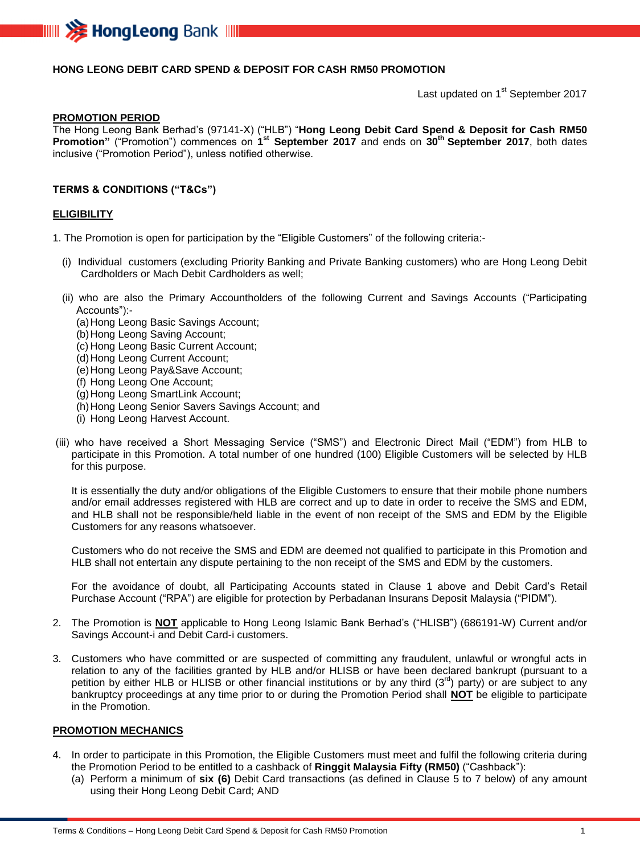

## **HONG LEONG DEBIT CARD SPEND & DEPOSIT FOR CASH RM50 PROMOTION**

Last updated on 1<sup>st</sup> September 2017

#### **PROMOTION PERIOD**

The Hong Leong Bank Berhad's (97141-X) ("HLB") "**Hong Leong Debit Card Spend & Deposit for Cash RM50 Promotion"** ("Promotion") commences on **1 st September 2017** and ends on **30 th September 2017**, both dates inclusive ("Promotion Period"), unless notified otherwise.

### **TERMS & CONDITIONS ("T&Cs")**

#### **ELIGIBILITY**

1. The Promotion is open for participation by the "Eligible Customers" of the following criteria:-

- (i) Individual customers (excluding Priority Banking and Private Banking customers) who are Hong Leong Debit Cardholders or Mach Debit Cardholders as well;
- (ii) who are also the Primary Accountholders of the following Current and Savings Accounts ("Participating Accounts"):-
	- (a)Hong Leong Basic Savings Account;
	- (b)Hong Leong Saving Account;
	- (c) Hong Leong Basic Current Account;
	- (d) Hong Leong Current Account;
	- (e)Hong Leong Pay&Save Account;
	- (f) Hong Leong One Account;
	- (g)Hong Leong SmartLink Account;
	- (h) Hong Leong Senior Savers Savings Account; and
	- (i) Hong Leong Harvest Account.
- (iii) who have received a Short Messaging Service ("SMS") and Electronic Direct Mail ("EDM") from HLB to participate in this Promotion. A total number of one hundred (100) Eligible Customers will be selected by HLB for this purpose.

It is essentially the duty and/or obligations of the Eligible Customers to ensure that their mobile phone numbers and/or email addresses registered with HLB are correct and up to date in order to receive the SMS and EDM, and HLB shall not be responsible/held liable in the event of non receipt of the SMS and EDM by the Eligible Customers for any reasons whatsoever.

Customers who do not receive the SMS and EDM are deemed not qualified to participate in this Promotion and HLB shall not entertain any dispute pertaining to the non receipt of the SMS and EDM by the customers.

For the avoidance of doubt, all Participating Accounts stated in Clause 1 above and Debit Card's Retail Purchase Account ("RPA") are eligible for protection by Perbadanan Insurans Deposit Malaysia ("PIDM").

- 2. The Promotion is **NOT** applicable to Hong Leong Islamic Bank Berhad's ("HLISB") (686191-W) Current and/or Savings Account-i and Debit Card-i customers.
- 3. Customers who have committed or are suspected of committing any fraudulent, unlawful or wrongful acts in relation to any of the facilities granted by HLB and/or HLISB or have been declared bankrupt (pursuant to a petition by either HLB or HLISB or other financial institutions or by any third  $(3^{rd})$  party) or are subject to any bankruptcy proceedings at any time prior to or during the Promotion Period shall **NOT** be eligible to participate in the Promotion.

## **PROMOTION MECHANICS**

- 4. In order to participate in this Promotion, the Eligible Customers must meet and fulfil the following criteria during the Promotion Period to be entitled to a cashback of **Ringgit Malaysia Fifty (RM50)** ("Cashback"):
	- (a) Perform a minimum of **six (6)** Debit Card transactions (as defined in Clause 5 to 7 below) of any amount using their Hong Leong Debit Card; AND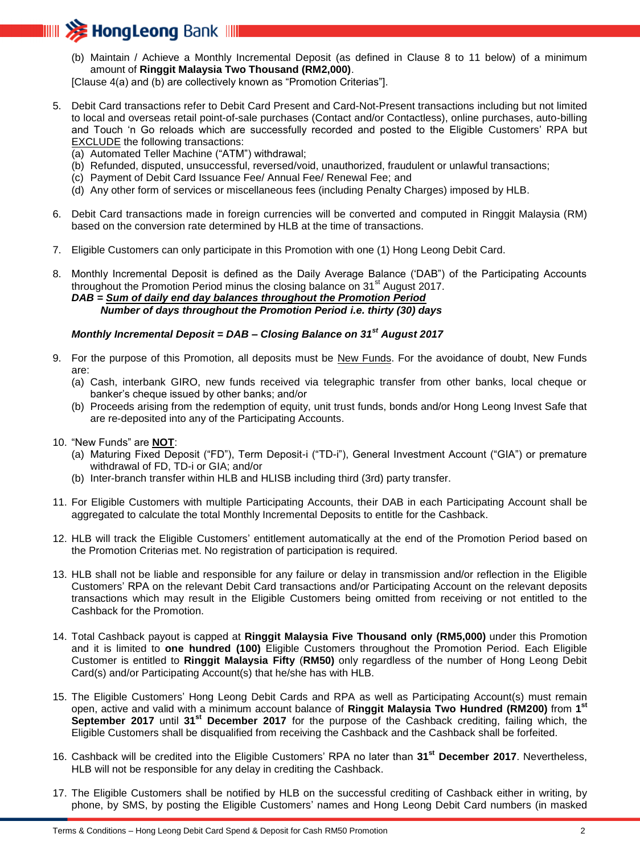

(b) Maintain / Achieve a Monthly Incremental Deposit (as defined in Clause 8 to 11 below) of a minimum amount of **Ringgit Malaysia Two Thousand (RM2,000)**.

[Clause 4(a) and (b) are collectively known as "Promotion Criterias"].

- 5. Debit Card transactions refer to Debit Card Present and Card-Not-Present transactions including but not limited to local and overseas retail point-of-sale purchases (Contact and/or Contactless), online purchases, auto-billing and Touch 'n Go reloads which are successfully recorded and posted to the Eligible Customers' RPA but EXCLUDE the following transactions:
	- (a) Automated Teller Machine ("ATM") withdrawal;
	- (b) Refunded, disputed, unsuccessful, reversed/void, unauthorized, fraudulent or unlawful transactions;
	- (c) Payment of Debit Card Issuance Fee/ Annual Fee/ Renewal Fee; and
	- (d) Any other form of services or miscellaneous fees (including Penalty Charges) imposed by HLB.
- 6. Debit Card transactions made in foreign currencies will be converted and computed in Ringgit Malaysia (RM) based on the conversion rate determined by HLB at the time of transactions.
- 7. Eligible Customers can only participate in this Promotion with one (1) Hong Leong Debit Card.

8. Monthly Incremental Deposit is defined as the Daily Average Balance ('DAB") of the Participating Accounts throughout the Promotion Period minus the closing balance on  $31<sup>st</sup>$  August 2017. *DAB = Sum of daily end day balances throughout the Promotion Period Number of days throughout the Promotion Period i.e. thirty (30) days*

# *Monthly Incremental Deposit = DAB – Closing Balance on 31st August 2017*

- 9. For the purpose of this Promotion, all deposits must be New Funds. For the avoidance of doubt, New Funds are:
	- (a) Cash, interbank GIRO, new funds received via telegraphic transfer from other banks, local cheque or banker's cheque issued by other banks; and/or
	- (b) Proceeds arising from the redemption of equity, unit trust funds, bonds and/or Hong Leong Invest Safe that are re-deposited into any of the Participating Accounts.
- 10. "New Funds" are **NOT**:
	- (a) Maturing Fixed Deposit ("FD"), Term Deposit-i ("TD-i"), General Investment Account ("GIA") or premature withdrawal of FD, TD-i or GIA; and/or
	- (b) Inter-branch transfer within HLB and HLISB including third (3rd) party transfer.
- 11. For Eligible Customers with multiple Participating Accounts, their DAB in each Participating Account shall be aggregated to calculate the total Monthly Incremental Deposits to entitle for the Cashback.
- 12. HLB will track the Eligible Customers' entitlement automatically at the end of the Promotion Period based on the Promotion Criterias met. No registration of participation is required.
- 13. HLB shall not be liable and responsible for any failure or delay in transmission and/or reflection in the Eligible Customers' RPA on the relevant Debit Card transactions and/or Participating Account on the relevant deposits transactions which may result in the Eligible Customers being omitted from receiving or not entitled to the Cashback for the Promotion.
- 14. Total Cashback payout is capped at **Ringgit Malaysia Five Thousand only (RM5,000)** under this Promotion and it is limited to **one hundred (100)** Eligible Customers throughout the Promotion Period. Each Eligible Customer is entitled to **Ringgit Malaysia Fifty** (**RM50)** only regardless of the number of Hong Leong Debit Card(s) and/or Participating Account(s) that he/she has with HLB.
- 15. The Eligible Customers' Hong Leong Debit Cards and RPA as well as Participating Account(s) must remain open, active and valid with a minimum account balance of **Ringgit Malaysia Two Hundred (RM200)** from **1 st September 2017** until **31st December 2017** for the purpose of the Cashback crediting, failing which, the Eligible Customers shall be disqualified from receiving the Cashback and the Cashback shall be forfeited.
- 16. Cashback will be credited into the Eligible Customers' RPA no later than **31st December 2017**. Nevertheless, HLB will not be responsible for any delay in crediting the Cashback.
- 17. The Eligible Customers shall be notified by HLB on the successful crediting of Cashback either in writing, by phone, by SMS, by posting the Eligible Customers' names and Hong Leong Debit Card numbers (in masked